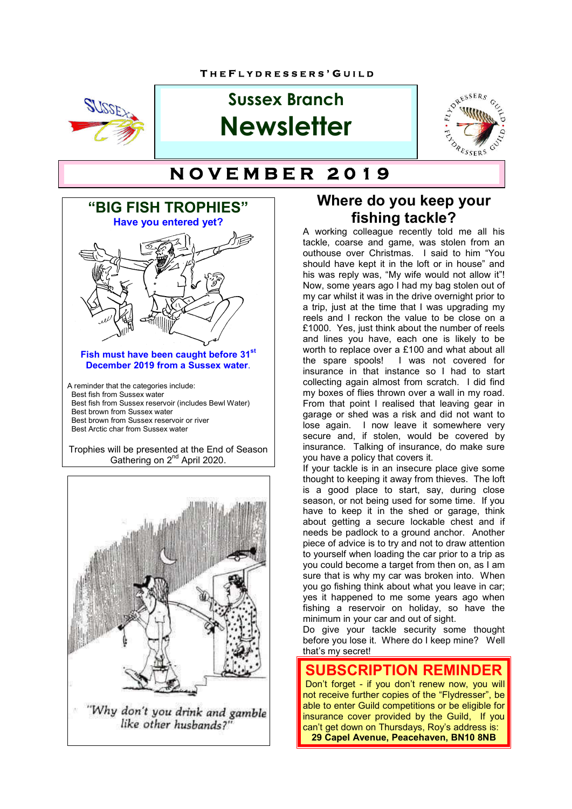

# **Sussex Branch Newsletter**



# **T H E F L Y D R E S S E R S ' G U I N O V E M B E R 2 0 1 9**





## **Where do you keep your fishing tackle?**

A working colleague recently told me all his tackle, coarse and game, was stolen from an outhouse over Christmas. I said to him "You should have kept it in the loft or in house" and his was reply was, "My wife would not allow it"! Now, some years ago I had my bag stolen out of my car whilst it was in the drive overnight prior to a trip, just at the time that I was upgrading my reels and I reckon the value to be close on a £1000. Yes, just think about the number of reels and lines you have, each one is likely to be worth to replace over a £100 and what about all the spare spools! I was not covered for insurance in that instance so I had to start collecting again almost from scratch. I did find my boxes of flies thrown over a wall in my road. From that point I realised that leaving gear in garage or shed was a risk and did not want to lose again. I now leave it somewhere very secure and, if stolen, would be covered by insurance. Talking of insurance, do make sure you have a policy that covers it.

If your tackle is in an insecure place give some thought to keeping it away from thieves. The loft is a good place to start, say, during close season, or not being used for some time. If you have to keep it in the shed or garage, think about getting a secure lockable chest and if needs be padlock to a ground anchor. Another piece of advice is to try and not to draw attention to yourself when loading the car prior to a trip as you could become a target from then on, as I am sure that is why my car was broken into. When you go fishing think about what you leave in car; yes it happened to me some years ago when fishing a reservoir on holiday, so have the minimum in your car and out of sight.

Do give your tackle security some thought before you lose it. Where do I keep mine? Well that's my secret!

**SUBSCRIPTION REM**  Don't forget - if you don't renew now, you will not receive further copies of the "Flydresser", be able to enter Guild competitions or be eligible for insurance cover provided by the Guild, If you can't get down on Thursdays, Roy's address is: **29 Capel Avenue, Peacehaven, BN10 8NB**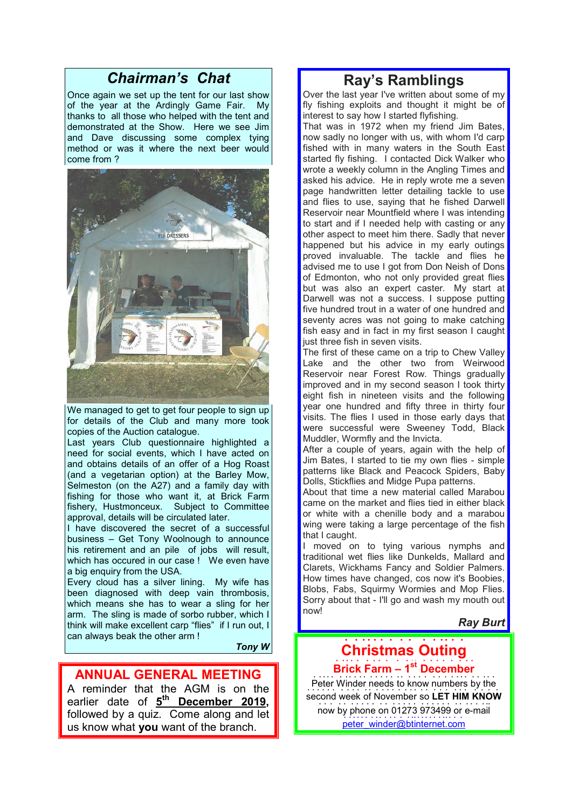## *Chairman's Chat*

Once again we set up the tent for our last show of the year at the Ardingly Game Fair. My thanks to all those who helped with the tent and demonstrated at the Show. Here we see Jim and Dave discussing some complex tying method or was it where the next beer would come from ?



We managed to get to get four people to sign up for details of the Club and many more took copies of the Auction catalogue.

Last years Club questionnaire highlighted a need for social events, which I have acted on and obtains details of an offer of a Hog Roast (and a vegetarian option) at the Barley Mow, Selmeston (on the A27) and a family day with fishing for those who want it, at Brick Farm fishery, Hustmonceux. Subject to Committee approval, details will be circulated later.

I have discovered the secret of a successful business – Get Tony Woolnough to announce his retirement and an pile of jobs will result, which has occured in our case ! We even have a big enquiry from the USA.

Every cloud has a silver lining. My wife has been diagnosed with deep vain thrombosis, which means she has to wear a sling for her arm. The sling is made of sorbo rubber, which I think will make excellent carp "flies" if I run out, I can always beak the other arm !

*Tony W*

### **ANNUAL GENERAL MEETING**

A reminder that the AGM is on the earlier date of **5th December 2019,**  followed by a quiz. Come along and let us know what **you** want of the branch.

## **Ray's Ramblings**

Over the last year I've written about some of my fly fishing exploits and thought it might be of interest to say how I started flyfishing.

That was in 1972 when my friend Jim Bates, now sadly no longer with us, with whom I'd carp fished with in many waters in the South East started fly fishing. I contacted Dick Walker who wrote a weekly column in the Angling Times and asked his advice. He in reply wrote me a seven page handwritten letter detailing tackle to use and flies to use, saying that he fished Darwell Reservoir near Mountfield where I was intending to start and if I needed help with casting or any other aspect to meet him there. Sadly that never happened but his advice in my early outings proved invaluable. The tackle and flies he advised me to use I got from Don Neish of Dons of Edmonton, who not only provided great flies but was also an expert caster. My start at Darwell was not a success. I suppose putting five hundred trout in a water of one hundred and seventy acres was not going to make catching fish easy and in fact in my first season I caught just three fish in seven visits.

The first of these came on a trip to Chew Valley Lake and the other two from Weirwood Reservoir near Forest Row. Things gradually improved and in my second season I took thirty eight fish in nineteen visits and the following year one hundred and fifty three in thirty four visits. The flies I used in those early days that were successful were Sweeney Todd, Black Muddler, Wormfly and the Invicta.

After a couple of years, again with the help of Jim Bates, I started to tie my own flies - simple patterns like Black and Peacock Spiders, Baby Dolls, Stickflies and Midge Pupa patterns.

About that time a new material called Marabou came on the market and flies tied in either black or white with a chenille body and a marabou wing were taking a large percentage of the fish that I caught.

I moved on to tying various nymphs and traditional wet flies like Dunkelds, Mallard and Clarets, Wickhams Fancy and Soldier Palmers. How times have changed, cos now it's Boobies, Blobs, Fabs, Squirmy Wormies and Mop Flies. Sorry about that - I'll go and wash my mouth out now!

*Ray Burt*

#### **Christmas Outing** <u>. . . . . . . . . . . . . . . .</u> **Brick Farm – 1<sup>st</sup> Brick Farm – 1<sup>st</sup> December**

Peter Winder needs to know numbers by the second week of November so LET HIM KNOW now by phone on 01273 973499 or e-mail peter\_winder@btinternet.com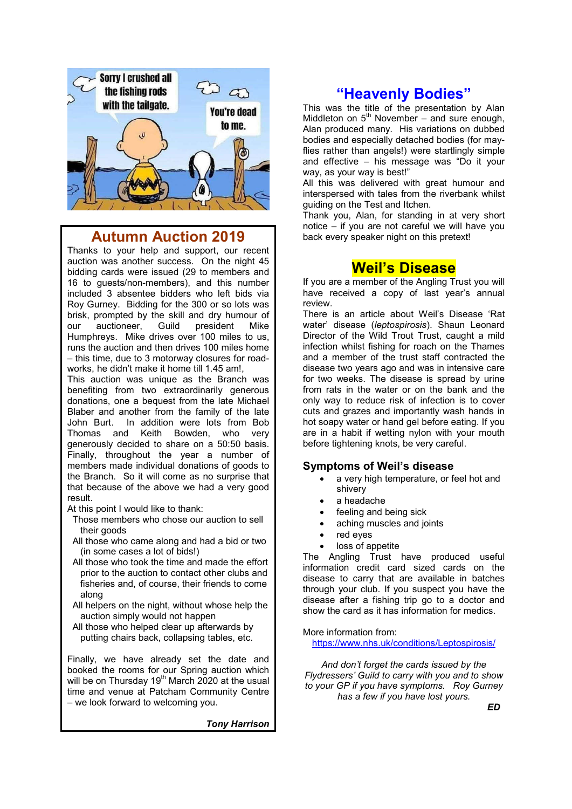

## **Autumn Auction 2019**

Thanks to your help and support, our recent auction was another success. On the night 45 bidding cards were issued (29 to members and 16 to guests/non-members), and this number included 3 absentee bidders who left bids via Roy Gurney. Bidding for the 300 or so lots was brisk, prompted by the skill and dry humour of our auctioneer, Guild president Mike Humphreys. Mike drives over 100 miles to us, runs the auction and then drives 100 miles home – this time, due to 3 motorway closures for roadworks, he didn't make it home till 1.45 am!,

This auction was unique as the Branch was benefiting from two extraordinarily generous donations, one a bequest from the late Michael Blaber and another from the family of the late John Burt. In addition were lots from Bob Thomas and Keith Bowden, who very generously decided to share on a 50:50 basis. Finally, throughout the year a number of members made individual donations of goods to the Branch. So it will come as no surprise that that because of the above we had a very good result.

At this point I would like to thank:

- Those members who chose our auction to sell their goods
- All those who came along and had a bid or two (in some cases a lot of bids!)
- All those who took the time and made the effort prior to the auction to contact other clubs and fisheries and, of course, their friends to come along
- All helpers on the night, without whose help the auction simply would not happen
- All those who helped clear up afterwards by putting chairs back, collapsing tables, etc.

Finally, we have already set the date and booked the rooms for our Spring auction which will be on Thursday  $19<sup>th</sup>$  March 2020 at the usual time and venue at Patcham Community Centre – we look forward to welcoming you.

*Tony Harrison*

## **"Heavenly Bodies"**

This was the title of the presentation by Alan Middleton on  $5<sup>th</sup>$  November – and sure enough, Alan produced many. His variations on dubbed bodies and especially detached bodies (for mayflies rather than angels!) were startlingly simple and effective – his message was "Do it your way, as your way is best!"

All this was delivered with great humour and interspersed with tales from the riverbank whilst guiding on the Test and Itchen.

Thank you, Alan, for standing in at very short notice – if you are not careful we will have you back every speaker night on this pretext!

## **Weil's Disease**

If you are a member of the Angling Trust you will have received a copy of last year's annual review.

There is an article about Weil's Disease 'Rat water' disease (*leptospirosis*). Shaun Leonard Director of the Wild Trout Trust, caught a mild infection whilst fishing for roach on the Thames and a member of the trust staff contracted the disease two years ago and was in intensive care for two weeks. The disease is spread by urine from rats in the water or on the bank and the only way to reduce risk of infection is to cover cuts and grazes and importantly wash hands in hot soapy water or hand gel before eating. If you are in a habit if wetting nylon with your mouth before tightening knots, be very careful.

#### **Symptoms of Weil's disease**

- a very high temperature, or feel hot and shivery
- a headache
- feeling and being sick
- aching muscles and joints
- red eyes
- loss of appetite

The Angling Trust have produced useful information credit card sized cards on the disease to carry that are available in batches through your club. If you suspect you have the disease after a fishing trip go to a doctor and show the card as it has information for medics.

More information from:

https://www.nhs.uk/conditions/Leptospirosis/

*And don't forget the cards issued by the Flydressers' Guild to carry with you and to show to your GP if you have symptoms. Roy Gurney has a few if you have lost yours.* 

 *ED*